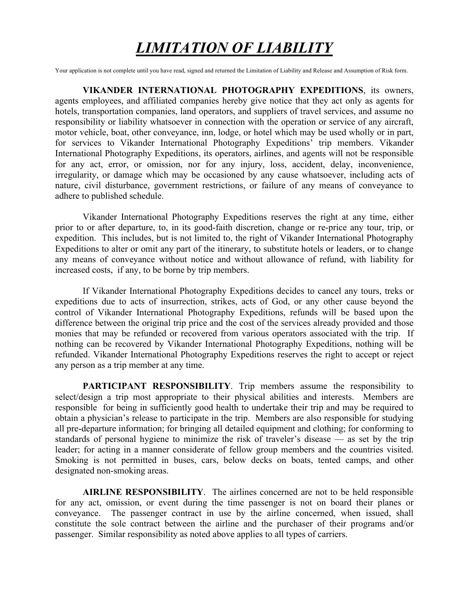## *LIMITATION OF LIABILITY*

Your application is not complete until you have read, signed and returned the Limitation of Liability and Release and Assumption of Risk form.

**VIKANDER INTERNATIONAL PHOTOGRAPHY EXPEDITIONS**, its owners, agents employees, and affiliated companies hereby give notice that they act only as agents for hotels, transportation companies, land operators, and suppliers of travel services, and assume no responsibility or liability whatsoever in connection with the operation or service of any aircraft, motor vehicle, boat, other conveyance, inn, lodge, or hotel which may be used wholly or in part, for services to Vikander International Photography Expeditions' trip members. Vikander International Photography Expeditions, its operators, airlines, and agents will not be responsible for any act, error, or omission, nor for any injury, loss, accident, delay, inconvenience, irregularity, or damage which may be occasioned by any cause whatsoever, including acts of nature, civil disturbance, government restrictions, or failure of any means of conveyance to adhere to published schedule.

Vikander International Photography Expeditions reserves the right at any time, either prior to or after departure, to, in its good-faith discretion, change or re-price any tour, trip, or expedition. This includes, but is not limited to, the right of Vikander International Photography Expeditions to alter or omit any part of the itinerary, to substitute hotels or leaders, or to change any means of conveyance without notice and without allowance of refund, with liability for increased costs, if any, to be borne by trip members.

If Vikander International Photography Expeditions decides to cancel any tours, treks or expeditions due to acts of insurrection, strikes, acts of God, or any other cause beyond the control of Vikander International Photography Expeditions, refunds will be based upon the difference between the original trip price and the cost of the services already provided and those monies that may be refunded or recovered from various operators associated with the trip. If nothing can be recovered by Vikander International Photography Expeditions, nothing will be refunded. Vikander International Photography Expeditions reserves the right to accept or reject any person as a trip member at any time.

**PARTICIPANT RESPONSIBILITY**. Trip members assume the responsibility to select/design a trip most appropriate to their physical abilities and interests. Members are responsible for being in sufficiently good health to undertake their trip and may be required to obtain a physician's release to participate in the trip. Members are also responsible for studying all pre-departure information; for bringing all detailed equipment and clothing; for conforming to standards of personal hygiene to minimize the risk of traveler's disease — as set by the trip leader; for acting in a manner considerate of fellow group members and the countries visited. Smoking is not permitted in buses, cars, below decks on boats, tented camps, and other designated non-smoking areas.

**AIRLINE RESPONSIBILITY**. The airlines concerned are not to be held responsible for any act, omission, or event during the time passenger is not on board their planes or conveyance. The passenger contract in use by the airline concerned, when issued, shall constitute the sole contract between the airline and the purchaser of their programs and/or passenger. Similar responsibility as noted above applies to all types of carriers.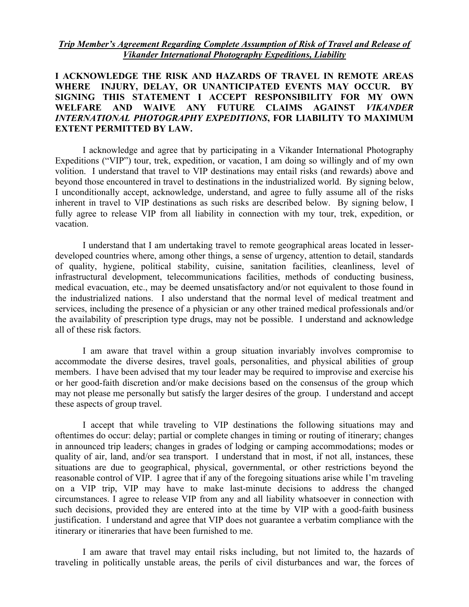*Trip Member's Agreement Regarding Complete Assumption of Risk of Travel and Release of Vikander International Photography Expeditions, Liability*

## **I ACKNOWLEDGE THE RISK AND HAZARDS OF TRAVEL IN REMOTE AREAS WHERE INJURY, DELAY, OR UNANTICIPATED EVENTS MAY OCCUR. BY SIGNING THIS STATEMENT I ACCEPT RESPONSIBILITY FOR MY OWN WELFARE AND WAIVE ANY FUTURE CLAIMS AGAINST** *VIKANDER INTERNATIONAL PHOTOGRAPHY EXPEDITIONS***, FOR LIABILITY TO MAXIMUM EXTENT PERMITTED BY LAW.**

I acknowledge and agree that by participating in a Vikander International Photography Expeditions ("VIP") tour, trek, expedition, or vacation, I am doing so willingly and of my own volition. I understand that travel to VIP destinations may entail risks (and rewards) above and beyond those encountered in travel to destinations in the industrialized world. By signing below, I unconditionally accept, acknowledge, understand, and agree to fully assume all of the risks inherent in travel to VIP destinations as such risks are described below. By signing below, I fully agree to release VIP from all liability in connection with my tour, trek, expedition, or vacation.

I understand that I am undertaking travel to remote geographical areas located in lesserdeveloped countries where, among other things, a sense of urgency, attention to detail, standards of quality, hygiene, political stability, cuisine, sanitation facilities, cleanliness, level of infrastructural development, telecommunications facilities, methods of conducting business, medical evacuation, etc., may be deemed unsatisfactory and/or not equivalent to those found in the industrialized nations. I also understand that the normal level of medical treatment and services, including the presence of a physician or any other trained medical professionals and/or the availability of prescription type drugs, may not be possible. I understand and acknowledge all of these risk factors.

I am aware that travel within a group situation invariably involves compromise to accommodate the diverse desires, travel goals, personalities, and physical abilities of group members. I have been advised that my tour leader may be required to improvise and exercise his or her good-faith discretion and/or make decisions based on the consensus of the group which may not please me personally but satisfy the larger desires of the group. I understand and accept these aspects of group travel.

I accept that while traveling to VIP destinations the following situations may and oftentimes do occur: delay; partial or complete changes in timing or routing of itinerary; changes in announced trip leaders; changes in grades of lodging or camping accommodations; modes or quality of air, land, and/or sea transport. I understand that in most, if not all, instances, these situations are due to geographical, physical, governmental, or other restrictions beyond the reasonable control of VIP. I agree that if any of the foregoing situations arise while I'm traveling on a VIP trip, VIP may have to make last-minute decisions to address the changed circumstances. I agree to release VIP from any and all liability whatsoever in connection with such decisions, provided they are entered into at the time by VIP with a good-faith business justification. I understand and agree that VIP does not guarantee a verbatim compliance with the itinerary or itineraries that have been furnished to me.

I am aware that travel may entail risks including, but not limited to, the hazards of traveling in politically unstable areas, the perils of civil disturbances and war, the forces of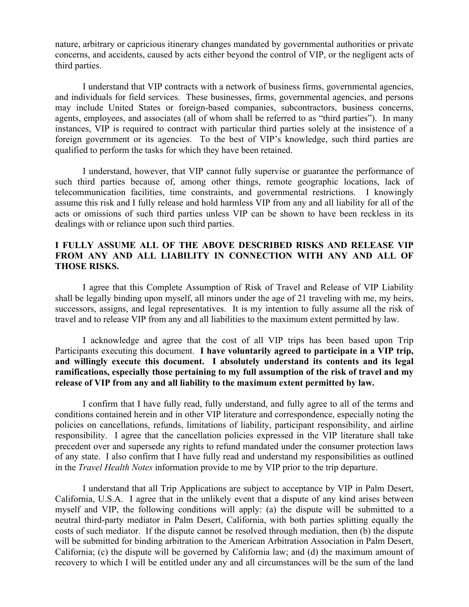nature, arbitrary or capricious itinerary changes mandated by governmental authorities or private concerns, and accidents, caused by acts either beyond the control of VIP, or the negligent acts of third parties.

I understand that VIP contracts with a network of business firms, governmental agencies, and individuals for field services. These businesses, firms, governmental agencies, and persons may include United States or foreign-based companies, subcontractors, business concerns, agents, employees, and associates (all of whom shall be referred to as "third parties"). In many instances, VIP is required to contract with particular third parties solely at the insistence of a foreign government or its agencies. To the best of VIP's knowledge, such third parties are qualified to perform the tasks for which they have been retained.

I understand, however, that VIP cannot fully supervise or guarantee the performance of such third parties because of, among other things, remote geographic locations, lack of telecommunication facilities, time constraints, and governmental restrictions. I knowingly assume this risk and I fully release and hold harmless VIP from any and all liability for all of the acts or omissions of such third parties unless VIP can be shown to have been reckless in its dealings with or reliance upon such third parties.

## **I FULLY ASSUME ALL OF THE ABOVE DESCRIBED RISKS AND RELEASE VIP FROM ANY AND ALL LIABILITY IN CONNECTION WITH ANY AND ALL OF THOSE RISKS.**

I agree that this Complete Assumption of Risk of Travel and Release of VIP Liability shall be legally binding upon myself, all minors under the age of 21 traveling with me, my heirs, successors, assigns, and legal representatives. It is my intention to fully assume all the risk of travel and to release VIP from any and all liabilities to the maximum extent permitted by law.

I acknowledge and agree that the cost of all VIP trips has been based upon Trip Participants executing this document. **I have voluntarily agreed to participate in a VIP trip, and willingly execute this document. I absolutely understand its contents and its legal ramifications, especially those pertaining to my full assumption of the risk of travel and my release of VIP from any and all liability to the maximum extent permitted by law.**

I confirm that I have fully read, fully understand, and fully agree to all of the terms and conditions contained herein and in other VIP literature and correspondence, especially noting the policies on cancellations, refunds, limitations of liability, participant responsibility, and airline responsibility. I agree that the cancellation policies expressed in the VIP literature shall take precedent over and supersede any rights to refund mandated under the consumer protection laws of any state. I also confirm that I have fully read and understand my responsibilities as outlined in the *Travel Health Notes* information provide to me by VIP prior to the trip departure.

I understand that all Trip Applications are subject to acceptance by VIP in Palm Desert, California, U.S.A. I agree that in the unlikely event that a dispute of any kind arises between myself and VIP, the following conditions will apply: (a) the dispute will be submitted to a neutral third-party mediator in Palm Desert, California, with both parties splitting equally the costs of such mediator. If the dispute cannot be resolved through mediation, then (b) the dispute will be submitted for binding arbitration to the American Arbitration Association in Palm Desert, California; (c) the dispute will be governed by California law; and (d) the maximum amount of recovery to which I will be entitled under any and all circumstances will be the sum of the land